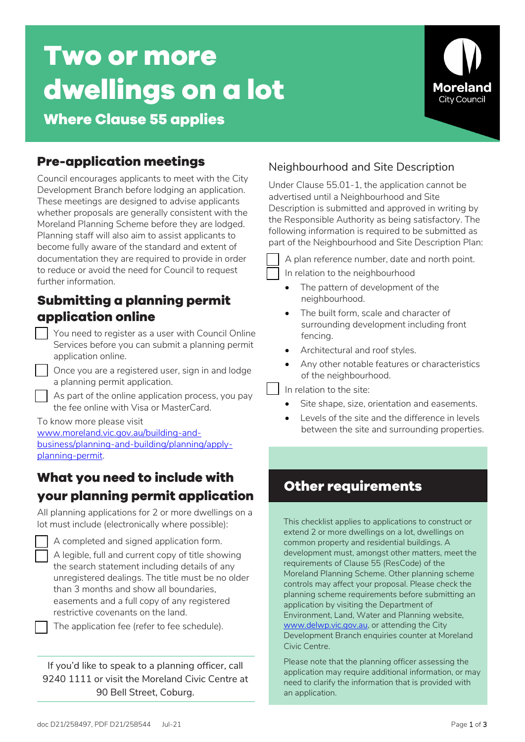# **Two or more dwellings on a lot**



# **Where Clause 55 applies**

# **Pre-application meetings**

Council encourages applicants to meet with the City Development Branch before lodging an application. These meetings are designed to advise applicants whether proposals are generally consistent with the Moreland Planning Scheme before they are lodged. Planning staff will also aim to assist applicants to become fully aware of the standard and extent of documentation they are required to provide in order to reduce or avoid the need for Council to request further information.

## **Submitting a planning permit application online**

- You need to register as a user with Council Online Services before you can submit a planning permit application online.
- Once you are a registered user, sign in and lodge a planning permit application.
- As part of the online application process, you pay the fee online with Visa or MasterCard.

#### To know more please visit

[www.moreland.vic.gov.au/building-and](https://www.moreland.vic.gov.au/building-and-business/planning-and-building/planning/apply-planning-permit/)[business/planning-and-building/planning/apply](https://www.moreland.vic.gov.au/building-and-business/planning-and-building/planning/apply-planning-permit/)[planning-permit.](https://www.moreland.vic.gov.au/building-and-business/planning-and-building/planning/apply-planning-permit/) 

# **What you need to include with your planning permit application**

All planning applications for 2 or more dwellings on a lot must include (electronically where possible):

- A completed and signed application form.
- A legible, full and current copy of title showing the search statement including details of any unregistered dealings. The title must be no older than 3 months and show all boundaries, easements and a full copy of any registered restrictive covenants on the land.
- The application fee (refer to fee schedule).

If you'd like to speak to a planning officer, call 9240 1111 or visit the Moreland Civic Centre at 90 Bell Street, Coburg.

## Neighbourhood and Site Description

Under Clause 55.01-1, the application cannot be advertised until a Neighbourhood and Site Description is submitted and approved in writing by the Responsible Authority as being satisfactory. The following information is required to be submitted as part of the Neighbourhood and Site Description Plan:

A plan reference number, date and north point.

In relation to the neighbourhood

- The pattern of development of the neighbourhood.
- The built form, scale and character of surrounding development including front fencing.
- Architectural and roof styles.
- Any other notable features or characteristics of the neighbourhood.

In relation to the site:

- Site shape, size, orientation and easements.
- Levels of the site and the difference in levels between the site and surrounding properties.

# **Other requirements**

This checklist applies to applications to construct or extend 2 or more dwellings on a lot, dwellings on common property and residential buildings. A development must, amongst other matters, meet the requirements of Clause 55 (ResCode) of the Moreland Planning Scheme. Other planning scheme controls may affect your proposal. Please check the planning scheme requirements before submitting an application by visiting the Department of Environment, Land, Water and Planning website, [www.delwp.vic.gov.au,](http://www.delwp.vic.gov.au)/) or attending the City Development Branch enquiries counter at Moreland Civic Centre.

Please note that the planning officer assessing the application may require additional information, or may need to clarify the information that is provided with an application.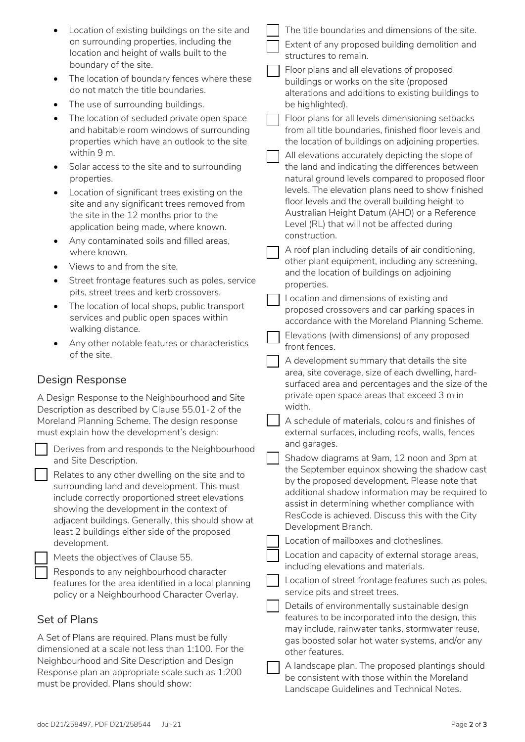| Location of existing buildings on the site and<br>on surrounding properties, including the<br>location and height of walls built to the<br>boundary of the site.<br>The location of boundary fences where these<br>٠<br>do not match the title boundaries.<br>The use of surrounding buildings.<br>$\bullet$<br>The location of secluded private open space<br>and habitable room windows of surrounding<br>properties which have an outlook to the site<br>within 9 m.<br>Solar access to the site and to surrounding<br>$\bullet$<br>properties. | The title boundaries and dimensions of the site.<br>Extent of any proposed building demolition and<br>structures to remain.<br>Floor plans and all elevations of proposed<br>buildings or works on the site (proposed<br>alterations and additions to existing buildings to<br>be highlighted).<br>Floor plans for all levels dimensioning setbacks<br>from all title boundaries, finished floor levels and<br>the location of buildings on adjoining properties.<br>All elevations accurately depicting the slope of<br>the land and indicating the differences between<br>natural ground levels compared to proposed floor |
|----------------------------------------------------------------------------------------------------------------------------------------------------------------------------------------------------------------------------------------------------------------------------------------------------------------------------------------------------------------------------------------------------------------------------------------------------------------------------------------------------------------------------------------------------|------------------------------------------------------------------------------------------------------------------------------------------------------------------------------------------------------------------------------------------------------------------------------------------------------------------------------------------------------------------------------------------------------------------------------------------------------------------------------------------------------------------------------------------------------------------------------------------------------------------------------|
| Location of significant trees existing on the                                                                                                                                                                                                                                                                                                                                                                                                                                                                                                      | levels. The elevation plans need to show finished                                                                                                                                                                                                                                                                                                                                                                                                                                                                                                                                                                            |
| site and any significant trees removed from                                                                                                                                                                                                                                                                                                                                                                                                                                                                                                        | floor levels and the overall building height to                                                                                                                                                                                                                                                                                                                                                                                                                                                                                                                                                                              |
| the site in the 12 months prior to the                                                                                                                                                                                                                                                                                                                                                                                                                                                                                                             | Australian Height Datum (AHD) or a Reference                                                                                                                                                                                                                                                                                                                                                                                                                                                                                                                                                                                 |
| application being made, where known.                                                                                                                                                                                                                                                                                                                                                                                                                                                                                                               | Level (RL) that will not be affected during                                                                                                                                                                                                                                                                                                                                                                                                                                                                                                                                                                                  |
| Any contaminated soils and filled areas,                                                                                                                                                                                                                                                                                                                                                                                                                                                                                                           | construction.                                                                                                                                                                                                                                                                                                                                                                                                                                                                                                                                                                                                                |
| where known.                                                                                                                                                                                                                                                                                                                                                                                                                                                                                                                                       | A roof plan including details of air conditioning,                                                                                                                                                                                                                                                                                                                                                                                                                                                                                                                                                                           |
| Views to and from the site.                                                                                                                                                                                                                                                                                                                                                                                                                                                                                                                        | other plant equipment, including any screening,                                                                                                                                                                                                                                                                                                                                                                                                                                                                                                                                                                              |
| Street frontage features such as poles, service                                                                                                                                                                                                                                                                                                                                                                                                                                                                                                    | and the location of buildings on adjoining                                                                                                                                                                                                                                                                                                                                                                                                                                                                                                                                                                                   |
| $\bullet$                                                                                                                                                                                                                                                                                                                                                                                                                                                                                                                                          | properties.                                                                                                                                                                                                                                                                                                                                                                                                                                                                                                                                                                                                                  |
| pits, street trees and kerb crossovers.                                                                                                                                                                                                                                                                                                                                                                                                                                                                                                            | Location and dimensions of existing and                                                                                                                                                                                                                                                                                                                                                                                                                                                                                                                                                                                      |
| The location of local shops, public transport                                                                                                                                                                                                                                                                                                                                                                                                                                                                                                      | proposed crossovers and car parking spaces in                                                                                                                                                                                                                                                                                                                                                                                                                                                                                                                                                                                |
| services and public open spaces within                                                                                                                                                                                                                                                                                                                                                                                                                                                                                                             | accordance with the Moreland Planning Scheme.                                                                                                                                                                                                                                                                                                                                                                                                                                                                                                                                                                                |
| walking distance.                                                                                                                                                                                                                                                                                                                                                                                                                                                                                                                                  | Elevations (with dimensions) of any proposed                                                                                                                                                                                                                                                                                                                                                                                                                                                                                                                                                                                 |
| Any other notable features or characteristics                                                                                                                                                                                                                                                                                                                                                                                                                                                                                                      | front fences.                                                                                                                                                                                                                                                                                                                                                                                                                                                                                                                                                                                                                |
| of the site.                                                                                                                                                                                                                                                                                                                                                                                                                                                                                                                                       | A development summary that details the site                                                                                                                                                                                                                                                                                                                                                                                                                                                                                                                                                                                  |
| Design Response<br>A Design Response to the Neighbourhood and Site<br>Description as described by Clause 55.01-2 of the<br>Moreland Planning Scheme. The design response<br>must explain how the development's design:                                                                                                                                                                                                                                                                                                                             | area, site coverage, size of each dwelling, hard-<br>surfaced area and percentages and the size of the<br>private open space areas that exceed 3 m in<br>width.<br>A schedule of materials, colours and finishes of<br>external surfaces, including roofs, walls, fences                                                                                                                                                                                                                                                                                                                                                     |
| Derives from and responds to the Neighbourhood                                                                                                                                                                                                                                                                                                                                                                                                                                                                                                     | and garages.                                                                                                                                                                                                                                                                                                                                                                                                                                                                                                                                                                                                                 |
| and Site Description.                                                                                                                                                                                                                                                                                                                                                                                                                                                                                                                              | Shadow diagrams at 9am, 12 noon and 3pm at                                                                                                                                                                                                                                                                                                                                                                                                                                                                                                                                                                                   |
| Relates to any other dwelling on the site and to                                                                                                                                                                                                                                                                                                                                                                                                                                                                                                   | the September equinox showing the shadow cast                                                                                                                                                                                                                                                                                                                                                                                                                                                                                                                                                                                |
| surrounding land and development. This must                                                                                                                                                                                                                                                                                                                                                                                                                                                                                                        | by the proposed development. Please note that                                                                                                                                                                                                                                                                                                                                                                                                                                                                                                                                                                                |
| include correctly proportioned street elevations                                                                                                                                                                                                                                                                                                                                                                                                                                                                                                   | additional shadow information may be required to                                                                                                                                                                                                                                                                                                                                                                                                                                                                                                                                                                             |
| showing the development in the context of                                                                                                                                                                                                                                                                                                                                                                                                                                                                                                          | assist in determining whether compliance with                                                                                                                                                                                                                                                                                                                                                                                                                                                                                                                                                                                |
| adjacent buildings. Generally, this should show at                                                                                                                                                                                                                                                                                                                                                                                                                                                                                                 | ResCode is achieved. Discuss this with the City                                                                                                                                                                                                                                                                                                                                                                                                                                                                                                                                                                              |
| least 2 buildings either side of the proposed                                                                                                                                                                                                                                                                                                                                                                                                                                                                                                      | Development Branch.                                                                                                                                                                                                                                                                                                                                                                                                                                                                                                                                                                                                          |
| development.                                                                                                                                                                                                                                                                                                                                                                                                                                                                                                                                       | Location of mailboxes and clotheslines.                                                                                                                                                                                                                                                                                                                                                                                                                                                                                                                                                                                      |
| Meets the objectives of Clause 55.<br>Responds to any neighbourhood character<br>features for the area identified in a local planning<br>policy or a Neighbourhood Character Overlay.                                                                                                                                                                                                                                                                                                                                                              | Location and capacity of external storage areas,<br>including elevations and materials.<br>Location of street frontage features such as poles,<br>service pits and street trees.<br>Details of environmentally sustainable design                                                                                                                                                                                                                                                                                                                                                                                            |
| Set of Plans<br>A Set of Plans are required. Plans must be fully<br>dimensioned at a scale not less than 1:100. For the<br>Neighbourhood and Site Description and Design<br>Response plan an appropriate scale such as 1:200<br>must be provided. Plans should show:                                                                                                                                                                                                                                                                               | features to be incorporated into the design, this<br>may include, rainwater tanks, stormwater reuse,<br>gas boosted solar hot water systems, and/or any<br>other features.<br>A landscape plan. The proposed plantings should<br>be consistent with those within the Moreland<br>Landscape Guidelines and Technical Notes.                                                                                                                                                                                                                                                                                                   |